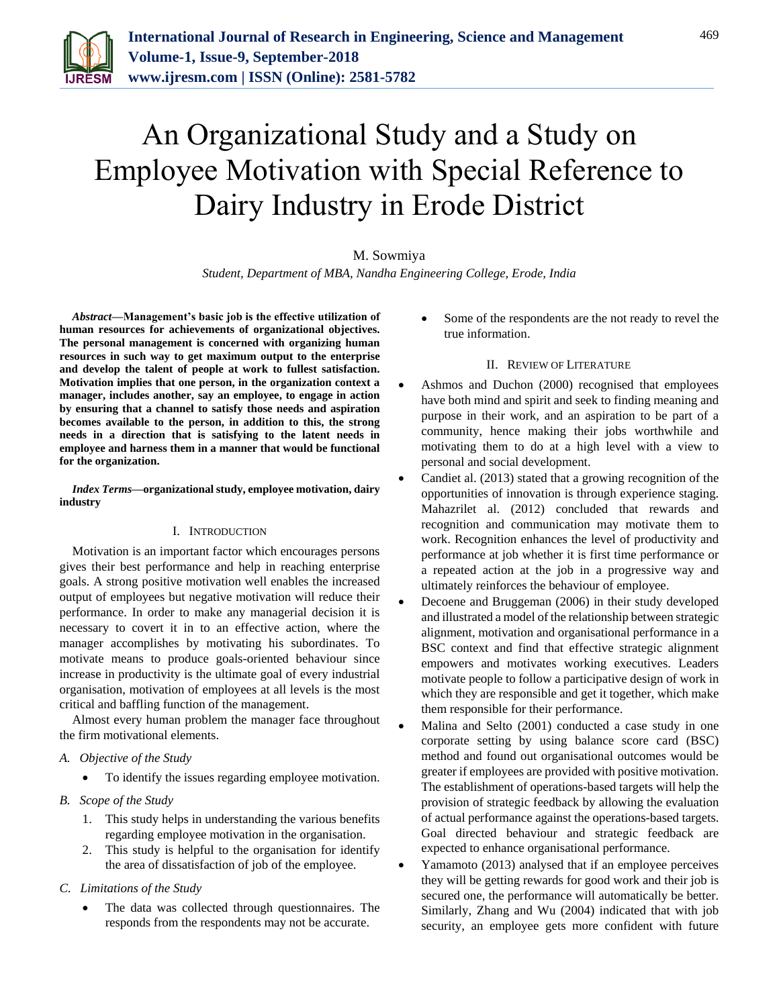

# An Organizational Study and a Study on Employee Motivation with Special Reference to Dairy Industry in Erode District

#### M. Sowmiya

*Student, Department of MBA, Nandha Engineering College, Erode, India*

*Abstract***—Management's basic job is the effective utilization of human resources for achievements of organizational objectives. The personal management is concerned with organizing human resources in such way to get maximum output to the enterprise and develop the talent of people at work to fullest satisfaction. Motivation implies that one person, in the organization context a manager, includes another, say an employee, to engage in action by ensuring that a channel to satisfy those needs and aspiration becomes available to the person, in addition to this, the strong needs in a direction that is satisfying to the latent needs in employee and harness them in a manner that would be functional for the organization.**

#### *Index Terms***—organizational study, employee motivation, dairy industry**

#### I. INTRODUCTION

Motivation is an important factor which encourages persons gives their best performance and help in reaching enterprise goals. A strong positive motivation well enables the increased output of employees but negative motivation will reduce their performance. In order to make any managerial decision it is necessary to covert it in to an effective action, where the manager accomplishes by motivating his subordinates. To motivate means to produce goals-oriented behaviour since increase in productivity is the ultimate goal of every industrial organisation, motivation of employees at all levels is the most critical and baffling function of the management.

Almost every human problem the manager face throughout the firm motivational elements.

# *A. Objective of the Study*

To identify the issues regarding employee motivation.

- *B. Scope of the Study*
	- 1. This study helps in understanding the various benefits regarding employee motivation in the organisation.
	- 2. This study is helpful to the organisation for identify the area of dissatisfaction of job of the employee.

#### *C. Limitations of the Study*

 The data was collected through questionnaires. The responds from the respondents may not be accurate.

 Some of the respondents are the not ready to revel the true information.

#### II. REVIEW OF LITERATURE

- Ashmos and Duchon (2000) recognised that employees have both mind and spirit and seek to finding meaning and purpose in their work, and an aspiration to be part of a community, hence making their jobs worthwhile and motivating them to do at a high level with a view to personal and social development.
- Candiet al. (2013) stated that a growing recognition of the opportunities of innovation is through experience staging. Mahazrilet al. (2012) concluded that rewards and recognition and communication may motivate them to work. Recognition enhances the level of productivity and performance at job whether it is first time performance or a repeated action at the job in a progressive way and ultimately reinforces the behaviour of employee.
- Decoene and Bruggeman (2006) in their study developed and illustrated a model of the relationship between strategic alignment, motivation and organisational performance in a BSC context and find that effective strategic alignment empowers and motivates working executives. Leaders motivate people to follow a participative design of work in which they are responsible and get it together, which make them responsible for their performance.
- Malina and Selto (2001) conducted a case study in one corporate setting by using balance score card (BSC) method and found out organisational outcomes would be greater if employees are provided with positive motivation. The establishment of operations-based targets will help the provision of strategic feedback by allowing the evaluation of actual performance against the operations-based targets. Goal directed behaviour and strategic feedback are expected to enhance organisational performance.
- Yamamoto (2013) analysed that if an employee perceives they will be getting rewards for good work and their job is secured one, the performance will automatically be better. Similarly, Zhang and Wu (2004) indicated that with job security, an employee gets more confident with future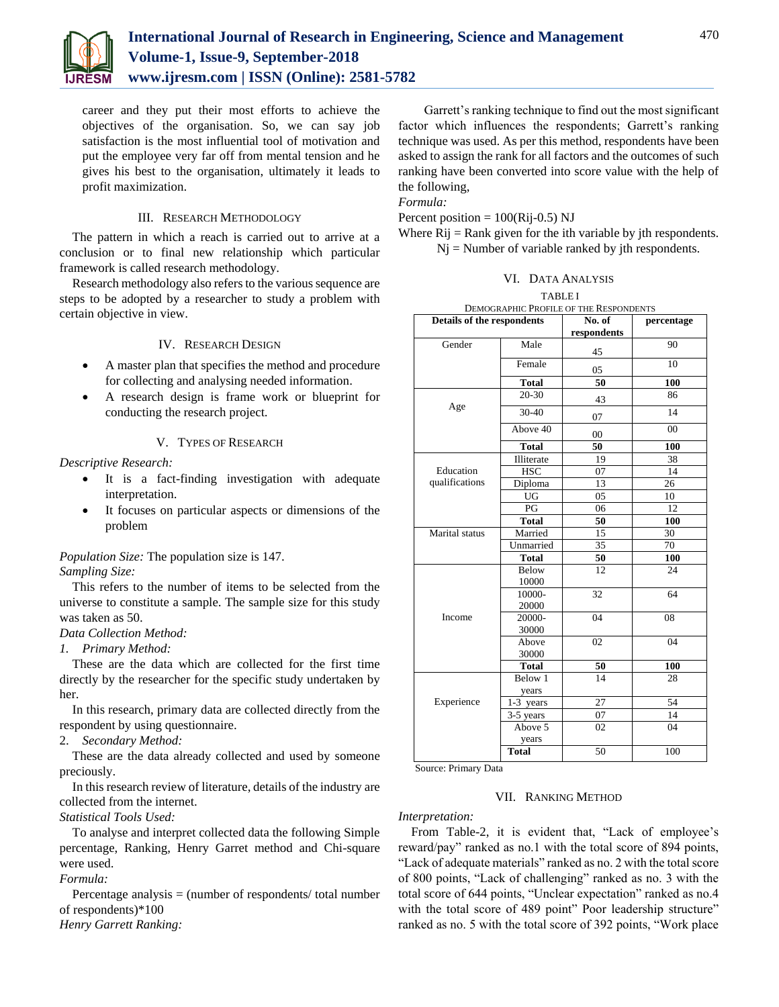

career and they put their most efforts to achieve the objectives of the organisation. So, we can say job satisfaction is the most influential tool of motivation and put the employee very far off from mental tension and he gives his best to the organisation, ultimately it leads to profit maximization.

#### III. RESEARCH METHODOLOGY

The pattern in which a reach is carried out to arrive at a conclusion or to final new relationship which particular framework is called research methodology.

Research methodology also refers to the various sequence are steps to be adopted by a researcher to study a problem with certain objective in view.

#### IV. RESEARCH DESIGN

- A master plan that specifies the method and procedure for collecting and analysing needed information.
- A research design is frame work or blueprint for conducting the research project.

# V. TYPES OF RESEARCH

*Descriptive Research:*

- It is a fact-finding investigation with adequate interpretation.
- It focuses on particular aspects or dimensions of the problem

# *Population Size:* The population size is 147.

#### *Sampling Size:*

This refers to the number of items to be selected from the universe to constitute a sample. The sample size for this study was taken as 50.

# *Data Collection Method:*

*1. Primary Method:* 

These are the data which are collected for the first time directly by the researcher for the specific study undertaken by her.

In this research, primary data are collected directly from the respondent by using questionnaire.

#### 2. *Secondary Method:*

These are the data already collected and used by someone preciously.

In this research review of literature, details of the industry are collected from the internet.

*Statistical Tools Used:*

To analyse and interpret collected data the following Simple percentage, Ranking, Henry Garret method and Chi-square were used.

# *Formula:*

Percentage analysis = (number of respondents/ total number of respondents)\*100

*Henry Garrett Ranking:*

Garrett's ranking technique to find out the most significant factor which influences the respondents; Garrett's ranking technique was used. As per this method, respondents have been asked to assign the rank for all factors and the outcomes of such ranking have been converted into score value with the help of the following,

*Formula:*

Percent position  $= 100(Ri-0.5)$  NJ

Where  $Rij = Rank$  given for the ith variable by jth respondents.  $Nj$  = Number of variable ranked by jth respondents.

#### VI. DATA ANALYSIS

| DEMOGRAPHIC PROFILE OF THE RESPONDENTS |                  |                       |            |  |  |  |
|----------------------------------------|------------------|-----------------------|------------|--|--|--|
| Details of the respondents             |                  | No. of<br>respondents | percentage |  |  |  |
| Gender                                 | Male             | 45                    | 90         |  |  |  |
|                                        | Female           | 05                    | 10         |  |  |  |
|                                        | <b>Total</b>     | 50                    | 100        |  |  |  |
| Age                                    | $20 - 30$        | 43                    | 86         |  |  |  |
|                                        | 30-40            | 07                    | 14         |  |  |  |
|                                        | Above 40         | $00\,$                | 00         |  |  |  |
|                                        | <b>Total</b>     | 50                    | 100        |  |  |  |
|                                        | Illiterate       | 19                    | 38         |  |  |  |
| Education                              | <b>HSC</b>       | 07                    | 14         |  |  |  |
| qualifications                         | Diploma          | 13                    | 26         |  |  |  |
|                                        | UG               | 05                    | 10         |  |  |  |
|                                        | PG               | 06                    | 12         |  |  |  |
|                                        | <b>Total</b>     | 50                    | 100        |  |  |  |
| Marital status                         | Married          | 15                    | 30         |  |  |  |
|                                        | Unmarried        | 35                    | 70         |  |  |  |
|                                        | <b>Total</b>     | 50                    | 100        |  |  |  |
|                                        | Below<br>10000   | 12                    | 24         |  |  |  |
|                                        | 10000-<br>20000  | 32                    | 64         |  |  |  |
| Income                                 | 20000-<br>30000  | 04                    | 08         |  |  |  |
|                                        | Above<br>30000   | 02                    | 04         |  |  |  |
|                                        | <b>Total</b>     | 50                    | 100        |  |  |  |
|                                        | Below 1<br>years | 14                    | 28         |  |  |  |
| Experience                             | 1-3 years        | 27                    | 54         |  |  |  |
|                                        | 3-5 years        | 07                    | 14         |  |  |  |
|                                        | Above 5<br>years | 02                    | 04         |  |  |  |
|                                        | <b>Total</b>     | 50                    | 100        |  |  |  |

Source: Primary Data

#### VII. RANKING METHOD

*Interpretation:*

From Table-2, it is evident that, "Lack of employee's reward/pay" ranked as no.1 with the total score of 894 points, "Lack of adequate materials" ranked as no. 2 with the total score of 800 points, "Lack of challenging" ranked as no. 3 with the total score of 644 points, "Unclear expectation" ranked as no.4 with the total score of 489 point" Poor leadership structure" ranked as no. 5 with the total score of 392 points, "Work place